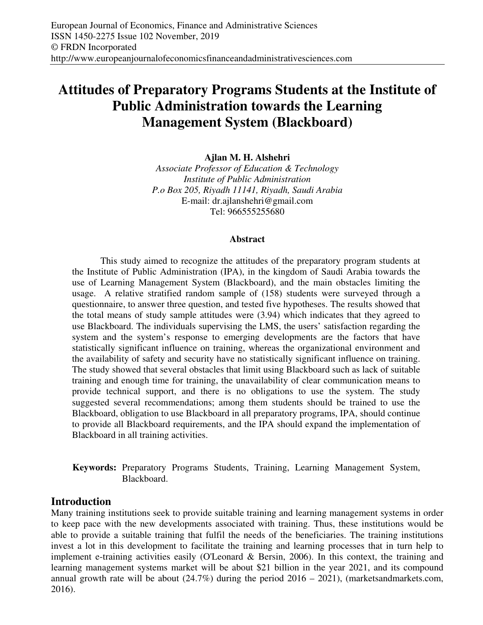# **Attitudes of Preparatory Programs Students at the Institute of Public Administration towards the Learning Management System (Blackboard)**

**Ajlan M. H. Alshehri** 

*Associate Professor of Education & Technology Institute of Public Administration P.o Box 205, Riyadh 11141, Riyadh, Saudi Arabia*  E-mail: dr.ajlanshehri@gmail.com Tel: 966555255680

#### **Abstract**

This study aimed to recognize the attitudes of the preparatory program students at the Institute of Public Administration (IPA), in the kingdom of Saudi Arabia towards the use of Learning Management System (Blackboard), and the main obstacles limiting the usage. A relative stratified random sample of (158) students were surveyed through a questionnaire, to answer three question, and tested five hypotheses. The results showed that the total means of study sample attitudes were (3.94) which indicates that they agreed to use Blackboard. The individuals supervising the LMS, the users' satisfaction regarding the system and the system's response to emerging developments are the factors that have statistically significant influence on training, whereas the organizational environment and the availability of safety and security have no statistically significant influence on training. The study showed that several obstacles that limit using Blackboard such as lack of suitable training and enough time for training, the unavailability of clear communication means to provide technical support, and there is no obligations to use the system. The study suggested several recommendations; among them students should be trained to use the Blackboard, obligation to use Blackboard in all preparatory programs, IPA, should continue to provide all Blackboard requirements, and the IPA should expand the implementation of Blackboard in all training activities.

**Keywords:** Preparatory Programs Students, Training, Learning Management System, Blackboard.

## **Introduction**

Many training institutions seek to provide suitable training and learning management systems in order to keep pace with the new developments associated with training. Thus, these institutions would be able to provide a suitable training that fulfil the needs of the beneficiaries. The training institutions invest a lot in this development to facilitate the training and learning processes that in turn help to implement e-training activities easily (O'Leonard & Bersin, 2006). In this context, the training and learning management systems market will be about \$21 billion in the year 2021, and its compound annual growth rate will be about  $(24.7\%)$  during the period  $2016 - 2021$ ), (marketsandmarkets.com, 2016).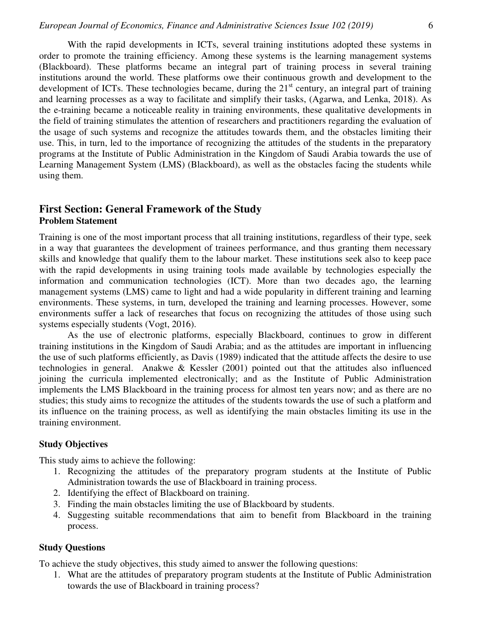With the rapid developments in ICTs, several training institutions adopted these systems in order to promote the training efficiency. Among these systems is the learning management systems (Blackboard). These platforms became an integral part of training process in several training institutions around the world. These platforms owe their continuous growth and development to the development of ICTs. These technologies became, during the 21<sup>st</sup> century, an integral part of training and learning processes as a way to facilitate and simplify their tasks, (Agarwa, and Lenka, 2018). As the e-training became a noticeable reality in training environments, these qualitative developments in the field of training stimulates the attention of researchers and practitioners regarding the evaluation of the usage of such systems and recognize the attitudes towards them, and the obstacles limiting their use. This, in turn, led to the importance of recognizing the attitudes of the students in the preparatory programs at the Institute of Public Administration in the Kingdom of Saudi Arabia towards the use of Learning Management System (LMS) (Blackboard), as well as the obstacles facing the students while using them.

## **First Section: General Framework of the Study Problem Statement**

Training is one of the most important process that all training institutions, regardless of their type, seek in a way that guarantees the development of trainees performance, and thus granting them necessary skills and knowledge that qualify them to the labour market. These institutions seek also to keep pace with the rapid developments in using training tools made available by technologies especially the information and communication technologies (ICT). More than two decades ago, the learning management systems (LMS) came to light and had a wide popularity in different training and learning environments. These systems, in turn, developed the training and learning processes. However, some environments suffer a lack of researches that focus on recognizing the attitudes of those using such systems especially students (Vogt, 2016).

As the use of electronic platforms, especially Blackboard, continues to grow in different training institutions in the Kingdom of Saudi Arabia; and as the attitudes are important in influencing the use of such platforms efficiently, as Davis (1989) indicated that the attitude affects the desire to use technologies in general. Anakwe & Kessler (2001) pointed out that the attitudes also influenced joining the curricula implemented electronically; and as the Institute of Public Administration implements the LMS Blackboard in the training process for almost ten years now; and as there are no studies; this study aims to recognize the attitudes of the students towards the use of such a platform and its influence on the training process, as well as identifying the main obstacles limiting its use in the training environment.

#### **Study Objectives**

This study aims to achieve the following:

- 1. Recognizing the attitudes of the preparatory program students at the Institute of Public Administration towards the use of Blackboard in training process.
- 2. Identifying the effect of Blackboard on training.
- 3. Finding the main obstacles limiting the use of Blackboard by students.
- 4. Suggesting suitable recommendations that aim to benefit from Blackboard in the training process.

#### **Study Questions**

To achieve the study objectives, this study aimed to answer the following questions:

1. What are the attitudes of preparatory program students at the Institute of Public Administration towards the use of Blackboard in training process?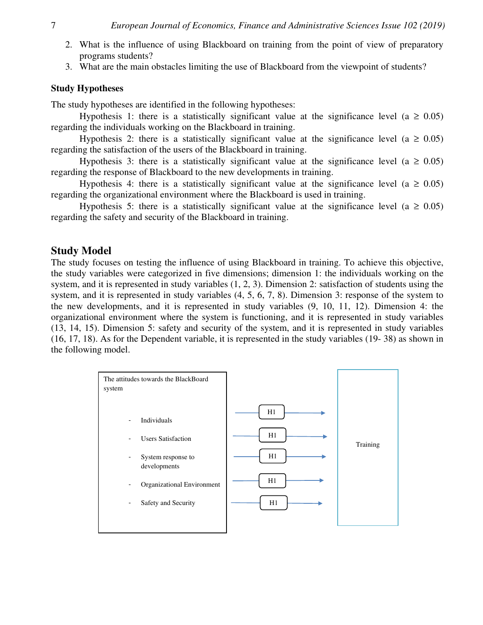- 2. What is the influence of using Blackboard on training from the point of view of preparatory programs students?
- 3. What are the main obstacles limiting the use of Blackboard from the viewpoint of students?

#### **Study Hypotheses**

The study hypotheses are identified in the following hypotheses:

Hypothesis 1: there is a statistically significant value at the significance level ( $a \ge 0.05$ ) regarding the individuals working on the Blackboard in training.

Hypothesis 2: there is a statistically significant value at the significance level (a  $\geq 0.05$ ) regarding the satisfaction of the users of the Blackboard in training.

Hypothesis 3: there is a statistically significant value at the significance level (a  $\geq 0.05$ ) regarding the response of Blackboard to the new developments in training.

Hypothesis 4: there is a statistically significant value at the significance level ( $a \ge 0.05$ ) regarding the organizational environment where the Blackboard is used in training.

Hypothesis 5: there is a statistically significant value at the significance level ( $a \ge 0.05$ ) regarding the safety and security of the Blackboard in training.

### **Study Model**

The study focuses on testing the influence of using Blackboard in training. To achieve this objective, the study variables were categorized in five dimensions; dimension 1: the individuals working on the system, and it is represented in study variables (1, 2, 3). Dimension 2: satisfaction of students using the system, and it is represented in study variables (4, 5, 6, 7, 8). Dimension 3: response of the system to the new developments, and it is represented in study variables (9, 10, 11, 12). Dimension 4: the organizational environment where the system is functioning, and it is represented in study variables (13, 14, 15). Dimension 5: safety and security of the system, and it is represented in study variables (16, 17, 18). As for the Dependent variable, it is represented in the study variables (19- 38) as shown in the following model.

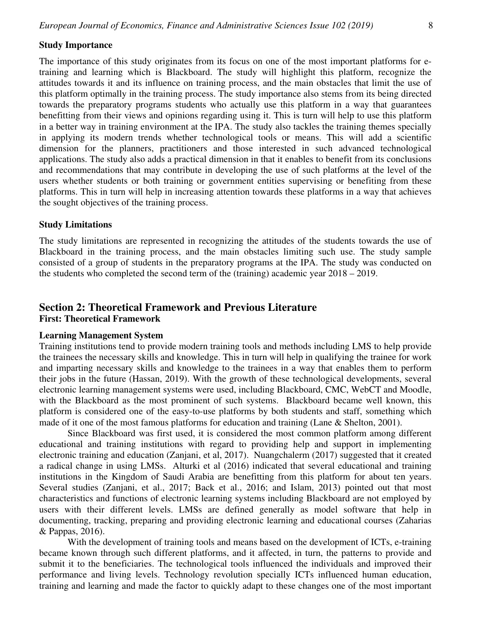#### **Study Importance**

The importance of this study originates from its focus on one of the most important platforms for etraining and learning which is Blackboard. The study will highlight this platform, recognize the attitudes towards it and its influence on training process, and the main obstacles that limit the use of this platform optimally in the training process. The study importance also stems from its being directed towards the preparatory programs students who actually use this platform in a way that guarantees benefitting from their views and opinions regarding using it. This is turn will help to use this platform in a better way in training environment at the IPA. The study also tackles the training themes specially in applying its modern trends whether technological tools or means. This will add a scientific dimension for the planners, practitioners and those interested in such advanced technological applications. The study also adds a practical dimension in that it enables to benefit from its conclusions and recommendations that may contribute in developing the use of such platforms at the level of the users whether students or both training or government entities supervising or benefiting from these platforms. This in turn will help in increasing attention towards these platforms in a way that achieves the sought objectives of the training process.

#### **Study Limitations**

The study limitations are represented in recognizing the attitudes of the students towards the use of Blackboard in the training process, and the main obstacles limiting such use. The study sample consisted of a group of students in the preparatory programs at the IPA. The study was conducted on the students who completed the second term of the (training) academic year 2018 – 2019.

#### **Section 2: Theoretical Framework and Previous Literature First: Theoretical Framework**

#### **Learning Management System**

Training institutions tend to provide modern training tools and methods including LMS to help provide the trainees the necessary skills and knowledge. This in turn will help in qualifying the trainee for work and imparting necessary skills and knowledge to the trainees in a way that enables them to perform their jobs in the future (Hassan, 2019). With the growth of these technological developments, several electronic learning management systems were used, including Blackboard, CMC, WebCT and Moodle, with the Blackboard as the most prominent of such systems. Blackboard became well known, this platform is considered one of the easy-to-use platforms by both students and staff, something which made of it one of the most famous platforms for education and training (Lane & Shelton, 2001).

Since Blackboard was first used, it is considered the most common platform among different educational and training institutions with regard to providing help and support in implementing electronic training and education (Zanjani, et al, 2017). Nuangchalerm (2017) suggested that it created a radical change in using LMSs. Alturki et al (2016) indicated that several educational and training institutions in the Kingdom of Saudi Arabia are benefitting from this platform for about ten years. Several studies (Zanjani, et al., 2017; Back et al., 2016; and Islam, 2013) pointed out that most characteristics and functions of electronic learning systems including Blackboard are not employed by users with their different levels. LMSs are defined generally as model software that help in documenting, tracking, preparing and providing electronic learning and educational courses (Zaharias & Pappas, 2016).

With the development of training tools and means based on the development of ICTs, e-training became known through such different platforms, and it affected, in turn, the patterns to provide and submit it to the beneficiaries. The technological tools influenced the individuals and improved their performance and living levels. Technology revolution specially ICTs influenced human education, training and learning and made the factor to quickly adapt to these changes one of the most important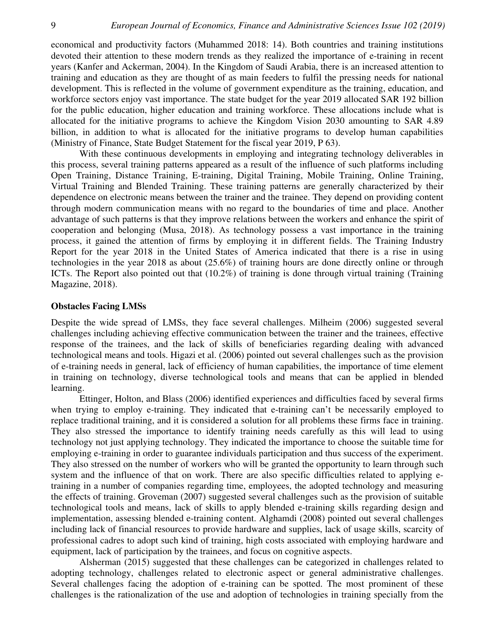economical and productivity factors (Muhammed 2018: 14). Both countries and training institutions devoted their attention to these modern trends as they realized the importance of e-training in recent years (Kanfer and Ackerman, 2004). In the Kingdom of Saudi Arabia, there is an increased attention to training and education as they are thought of as main feeders to fulfil the pressing needs for national development. This is reflected in the volume of government expenditure as the training, education, and workforce sectors enjoy vast importance. The state budget for the year 2019 allocated SAR 192 billion for the public education, higher education and training workforce. These allocations include what is allocated for the initiative programs to achieve the Kingdom Vision 2030 amounting to SAR 4.89 billion, in addition to what is allocated for the initiative programs to develop human capabilities (Ministry of Finance, State Budget Statement for the fiscal year 2019, P 63).

With these continuous developments in employing and integrating technology deliverables in this process, several training patterns appeared as a result of the influence of such platforms including Open Training, Distance Training, E-training, Digital Training, Mobile Training, Online Training, Virtual Training and Blended Training. These training patterns are generally characterized by their dependence on electronic means between the trainer and the trainee. They depend on providing content through modern communication means with no regard to the boundaries of time and place. Another advantage of such patterns is that they improve relations between the workers and enhance the spirit of cooperation and belonging (Musa, 2018). As technology possess a vast importance in the training process, it gained the attention of firms by employing it in different fields. The Training Industry Report for the year 2018 in the United States of America indicated that there is a rise in using technologies in the year 2018 as about (25.6%) of training hours are done directly online or through ICTs. The Report also pointed out that (10.2%) of training is done through virtual training (Training Magazine, 2018).

#### **Obstacles Facing LMSs**

Despite the wide spread of LMSs, they face several challenges. Milheim (2006) suggested several challenges including achieving effective communication between the trainer and the trainees, effective response of the trainees, and the lack of skills of beneficiaries regarding dealing with advanced technological means and tools. Higazi et al. (2006) pointed out several challenges such as the provision of e-training needs in general, lack of efficiency of human capabilities, the importance of time element in training on technology, diverse technological tools and means that can be applied in blended learning.

Ettinger, Holton, and Blass (2006) identified experiences and difficulties faced by several firms when trying to employ e-training. They indicated that e-training can't be necessarily employed to replace traditional training, and it is considered a solution for all problems these firms face in training. They also stressed the importance to identify training needs carefully as this will lead to using technology not just applying technology. They indicated the importance to choose the suitable time for employing e-training in order to guarantee individuals participation and thus success of the experiment. They also stressed on the number of workers who will be granted the opportunity to learn through such system and the influence of that on work. There are also specific difficulties related to applying etraining in a number of companies regarding time, employees, the adopted technology and measuring the effects of training. Groveman (2007) suggested several challenges such as the provision of suitable technological tools and means, lack of skills to apply blended e-training skills regarding design and implementation, assessing blended e-training content. Alghamdi (2008) pointed out several challenges including lack of financial resources to provide hardware and supplies, lack of usage skills, scarcity of professional cadres to adopt such kind of training, high costs associated with employing hardware and equipment, lack of participation by the trainees, and focus on cognitive aspects.

Alsherman (2015) suggested that these challenges can be categorized in challenges related to adopting technology, challenges related to electronic aspect or general administrative challenges. Several challenges facing the adoption of e-training can be spotted. The most prominent of these challenges is the rationalization of the use and adoption of technologies in training specially from the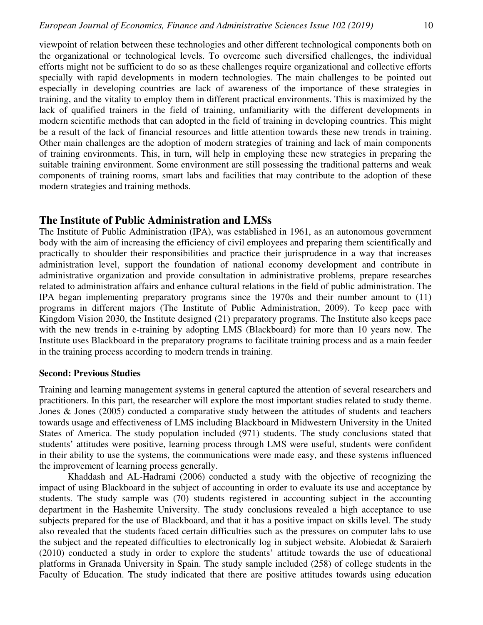viewpoint of relation between these technologies and other different technological components both on the organizational or technological levels. To overcome such diversified challenges, the individual efforts might not be sufficient to do so as these challenges require organizational and collective efforts specially with rapid developments in modern technologies. The main challenges to be pointed out especially in developing countries are lack of awareness of the importance of these strategies in training, and the vitality to employ them in different practical environments. This is maximized by the lack of qualified trainers in the field of training, unfamiliarity with the different developments in modern scientific methods that can adopted in the field of training in developing countries. This might be a result of the lack of financial resources and little attention towards these new trends in training. Other main challenges are the adoption of modern strategies of training and lack of main components of training environments. This, in turn, will help in employing these new strategies in preparing the suitable training environment. Some environment are still possessing the traditional patterns and weak

components of training rooms, smart labs and facilities that may contribute to the adoption of these

### **The Institute of Public Administration and LMSs**

modern strategies and training methods.

The Institute of Public Administration (IPA), was established in 1961, as an autonomous government body with the aim of increasing the efficiency of civil employees and preparing them scientifically and practically to shoulder their responsibilities and practice their jurisprudence in a way that increases administration level, support the foundation of national economy development and contribute in administrative organization and provide consultation in administrative problems, prepare researches related to administration affairs and enhance cultural relations in the field of public administration. The IPA began implementing preparatory programs since the 1970s and their number amount to (11) programs in different majors (The Institute of Public Administration, 2009). To keep pace with Kingdom Vision 2030, the Institute designed (21) preparatory programs. The Institute also keeps pace with the new trends in e-training by adopting LMS (Blackboard) for more than 10 years now. The Institute uses Blackboard in the preparatory programs to facilitate training process and as a main feeder in the training process according to modern trends in training.

#### **Second: Previous Studies**

Training and learning management systems in general captured the attention of several researchers and practitioners. In this part, the researcher will explore the most important studies related to study theme. Jones & Jones (2005) conducted a comparative study between the attitudes of students and teachers towards usage and effectiveness of LMS including Blackboard in Midwestern University in the United States of America. The study population included (971) students. The study conclusions stated that students' attitudes were positive, learning process through LMS were useful, students were confident in their ability to use the systems, the communications were made easy, and these systems influenced the improvement of learning process generally.

Khaddash and AL-Hadrami (2006) conducted a study with the objective of recognizing the impact of using Blackboard in the subject of accounting in order to evaluate its use and acceptance by students. The study sample was (70) students registered in accounting subject in the accounting department in the Hashemite University. The study conclusions revealed a high acceptance to use subjects prepared for the use of Blackboard, and that it has a positive impact on skills level. The study also revealed that the students faced certain difficulties such as the pressures on computer labs to use the subject and the repeated difficulties to electronically log in subject website. Alobiedat & Saraierh (2010) conducted a study in order to explore the students' attitude towards the use of educational platforms in Granada University in Spain. The study sample included (258) of college students in the Faculty of Education. The study indicated that there are positive attitudes towards using education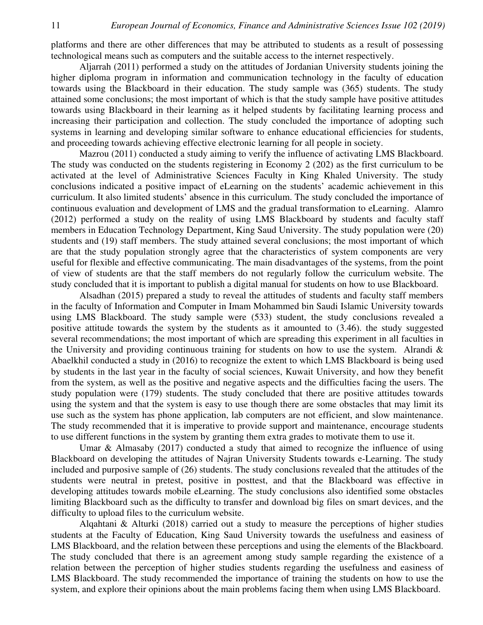platforms and there are other differences that may be attributed to students as a result of possessing technological means such as computers and the suitable access to the internet respectively.

Aljarrah (2011) performed a study on the attitudes of Jordanian University students joining the higher diploma program in information and communication technology in the faculty of education towards using the Blackboard in their education. The study sample was (365) students. The study attained some conclusions; the most important of which is that the study sample have positive attitudes towards using Blackboard in their learning as it helped students by facilitating learning process and increasing their participation and collection. The study concluded the importance of adopting such systems in learning and developing similar software to enhance educational efficiencies for students, and proceeding towards achieving effective electronic learning for all people in society.

Mazrou (2011) conducted a study aiming to verify the influence of activating LMS Blackboard. The study was conducted on the students registering in Economy 2 (202) as the first curriculum to be activated at the level of Administrative Sciences Faculty in King Khaled University. The study conclusions indicated a positive impact of eLearning on the students' academic achievement in this curriculum. It also limited students' absence in this curriculum. The study concluded the importance of continuous evaluation and development of LMS and the gradual transformation to eLearning. Alamro (2012) performed a study on the reality of using LMS Blackboard by students and faculty staff members in Education Technology Department, King Saud University. The study population were (20) students and (19) staff members. The study attained several conclusions; the most important of which are that the study population strongly agree that the characteristics of system components are very useful for flexible and effective communicating. The main disadvantages of the systems, from the point of view of students are that the staff members do not regularly follow the curriculum website. The study concluded that it is important to publish a digital manual for students on how to use Blackboard.

Alsadhan (2015) prepared a study to reveal the attitudes of students and faculty staff members in the faculty of Information and Computer in Imam Mohammed bin Saudi Islamic University towards using LMS Blackboard. The study sample were (533) student, the study conclusions revealed a positive attitude towards the system by the students as it amounted to (3.46). the study suggested several recommendations; the most important of which are spreading this experiment in all faculties in the University and providing continuous training for students on how to use the system. Alrandi  $\&$ Abaelkhil conducted a study in (2016) to recognize the extent to which LMS Blackboard is being used by students in the last year in the faculty of social sciences, Kuwait University, and how they benefit from the system, as well as the positive and negative aspects and the difficulties facing the users. The study population were (179) students. The study concluded that there are positive attitudes towards using the system and that the system is easy to use though there are some obstacles that may limit its use such as the system has phone application, lab computers are not efficient, and slow maintenance. The study recommended that it is imperative to provide support and maintenance, encourage students to use different functions in the system by granting them extra grades to motivate them to use it.

Umar & Almasaby (2017) conducted a study that aimed to recognize the influence of using Blackboard on developing the attitudes of Najran University Students towards e-Learning. The study included and purposive sample of (26) students. The study conclusions revealed that the attitudes of the students were neutral in pretest, positive in posttest, and that the Blackboard was effective in developing attitudes towards mobile eLearning. The study conclusions also identified some obstacles limiting Blackboard such as the difficulty to transfer and download big files on smart devices, and the difficulty to upload files to the curriculum website.

Alqahtani & Alturki (2018) carried out a study to measure the perceptions of higher studies students at the Faculty of Education, King Saud University towards the usefulness and easiness of LMS Blackboard, and the relation between these perceptions and using the elements of the Blackboard. The study concluded that there is an agreement among study sample regarding the existence of a relation between the perception of higher studies students regarding the usefulness and easiness of LMS Blackboard. The study recommended the importance of training the students on how to use the system, and explore their opinions about the main problems facing them when using LMS Blackboard.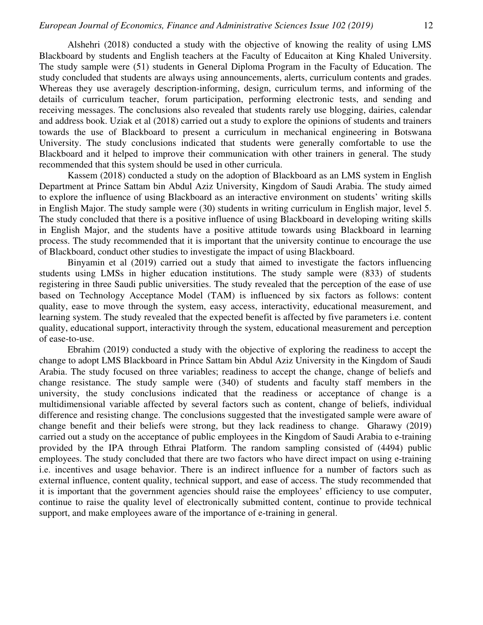Alshehri (2018) conducted a study with the objective of knowing the reality of using LMS Blackboard by students and English teachers at the Faculty of Educaiton at King Khaled University. The study sample were (51) students in General Diploma Program in the Faculty of Education. The study concluded that students are always using announcements, alerts, curriculum contents and grades. Whereas they use averagely description-informing, design, curriculum terms, and informing of the details of curriculum teacher, forum participation, performing electronic tests, and sending and receiving messages. The conclusions also revealed that students rarely use blogging, dairies, calendar and address book. Uziak et al (2018) carried out a study to explore the opinions of students and trainers towards the use of Blackboard to present a curriculum in mechanical engineering in Botswana University. The study conclusions indicated that students were generally comfortable to use the Blackboard and it helped to improve their communication with other trainers in general. The study recommended that this system should be used in other curricula.

Kassem (2018) conducted a study on the adoption of Blackboard as an LMS system in English Department at Prince Sattam bin Abdul Aziz University, Kingdom of Saudi Arabia. The study aimed to explore the influence of using Blackboard as an interactive environment on students' writing skills in English Major. The study sample were (30) students in writing curriculum in English major, level 5. The study concluded that there is a positive influence of using Blackboard in developing writing skills in English Major, and the students have a positive attitude towards using Blackboard in learning process. The study recommended that it is important that the university continue to encourage the use of Blackboard, conduct other studies to investigate the impact of using Blackboard.

Binyamin et al (2019) carried out a study that aimed to investigate the factors influencing students using LMSs in higher education institutions. The study sample were (833) of students registering in three Saudi public universities. The study revealed that the perception of the ease of use based on Technology Acceptance Model (TAM) is influenced by six factors as follows: content quality, ease to move through the system, easy access, interactivity, educational measurement, and learning system. The study revealed that the expected benefit is affected by five parameters i.e. content quality, educational support, interactivity through the system, educational measurement and perception of ease-to-use.

Ebrahim (2019) conducted a study with the objective of exploring the readiness to accept the change to adopt LMS Blackboard in Prince Sattam bin Abdul Aziz University in the Kingdom of Saudi Arabia. The study focused on three variables; readiness to accept the change, change of beliefs and change resistance. The study sample were (340) of students and faculty staff members in the university, the study conclusions indicated that the readiness or acceptance of change is a multidimensional variable affected by several factors such as content, change of beliefs, individual difference and resisting change. The conclusions suggested that the investigated sample were aware of change benefit and their beliefs were strong, but they lack readiness to change. Gharawy (2019) carried out a study on the acceptance of public employees in the Kingdom of Saudi Arabia to e-training provided by the IPA through Ethrai Platform. The random sampling consisted of (4494) public employees. The study concluded that there are two factors who have direct impact on using e-training i.e. incentives and usage behavior. There is an indirect influence for a number of factors such as external influence, content quality, technical support, and ease of access. The study recommended that it is important that the government agencies should raise the employees' efficiency to use computer, continue to raise the quality level of electronically submitted content, continue to provide technical support, and make employees aware of the importance of e-training in general.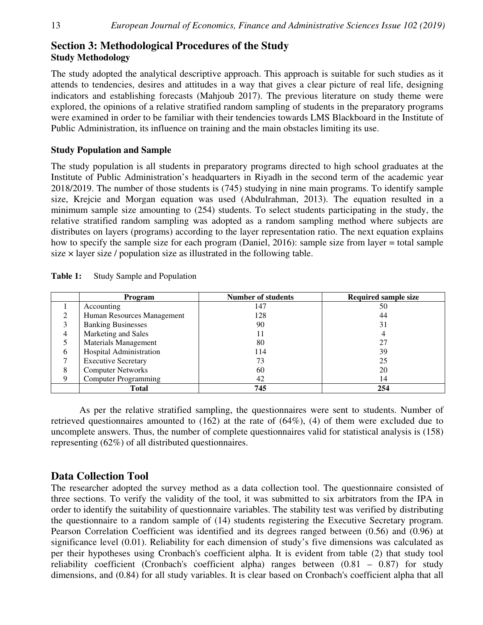# **Section 3: Methodological Procedures of the Study Study Methodology**

The study adopted the analytical descriptive approach. This approach is suitable for such studies as it attends to tendencies, desires and attitudes in a way that gives a clear picture of real life, designing indicators and establishing forecasts (Mahjoub 2017). The previous literature on study theme were explored, the opinions of a relative stratified random sampling of students in the preparatory programs were examined in order to be familiar with their tendencies towards LMS Blackboard in the Institute of Public Administration, its influence on training and the main obstacles limiting its use.

### **Study Population and Sample**

The study population is all students in preparatory programs directed to high school graduates at the Institute of Public Administration's headquarters in Riyadh in the second term of the academic year 2018/2019. The number of those students is (745) studying in nine main programs. To identify sample size, Krejcie and Morgan equation was used (Abdulrahman, 2013). The equation resulted in a minimum sample size amounting to (254) students. To select students participating in the study, the relative stratified random sampling was adopted as a random sampling method where subjects are distributes on layers (programs) according to the layer representation ratio. The next equation explains how to specify the sample size for each program (Daniel, 2016): sample size from layer = total sample size  $\times$  layer size / population size as illustrated in the following table.

|   | Program                     | <b>Number of students</b> | <b>Required sample size</b> |
|---|-----------------------------|---------------------------|-----------------------------|
|   | Accounting                  | 147                       | 50                          |
|   | Human Resources Management  | 128                       | 44                          |
| 3 | <b>Banking Businesses</b>   | 90                        | 31                          |
| 4 | Marketing and Sales         | 11                        |                             |
|   | Materials Management        | 80                        |                             |
| 6 | Hospital Administration     | 114                       | 39                          |
|   | <b>Executive Secretary</b>  | 73                        | 25                          |
| 8 | <b>Computer Networks</b>    | 60                        | 20                          |
| 9 | <b>Computer Programming</b> | 42                        | 14                          |
|   | <b>Total</b>                | 745                       | 254                         |

| Table 1: |  |  |  | <b>Study Sample and Population</b> |
|----------|--|--|--|------------------------------------|
|----------|--|--|--|------------------------------------|

As per the relative stratified sampling, the questionnaires were sent to students. Number of retrieved questionnaires amounted to (162) at the rate of (64%), (4) of them were excluded due to uncomplete answers. Thus, the number of complete questionnaires valid for statistical analysis is (158) representing (62%) of all distributed questionnaires.

# **Data Collection Tool**

The researcher adopted the survey method as a data collection tool. The questionnaire consisted of three sections. To verify the validity of the tool, it was submitted to six arbitrators from the IPA in order to identify the suitability of questionnaire variables. The stability test was verified by distributing the questionnaire to a random sample of (14) students registering the Executive Secretary program. Pearson Correlation Coefficient was identified and its degrees ranged between (0.56) and (0.96) at significance level (0.01). Reliability for each dimension of study's five dimensions was calculated as per their hypotheses using Cronbach's coefficient alpha. It is evident from table (2) that study tool reliability coefficient (Cronbach's coefficient alpha) ranges between (0.81 – 0.87) for study dimensions, and (0.84) for all study variables. It is clear based on Cronbach's coefficient alpha that all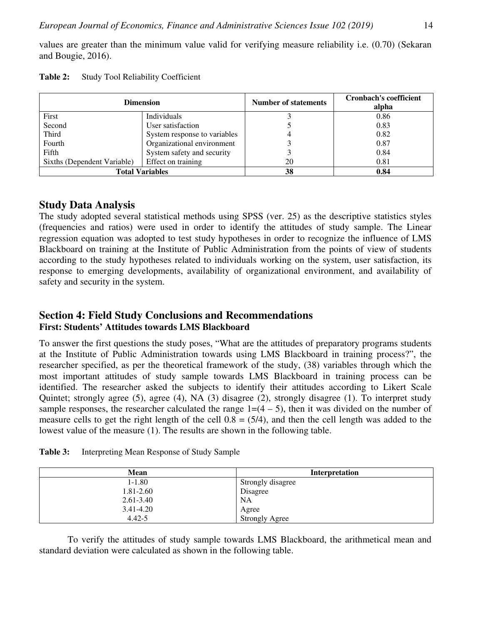values are greater than the minimum value valid for verifying measure reliability i.e. (0.70) (Sekaran and Bougie, 2016).

|                                                   | <b>Dimension</b>             | <b>Number of statements</b> | <b>Cronbach's coefficient</b><br>alpha |  |
|---------------------------------------------------|------------------------------|-----------------------------|----------------------------------------|--|
| First                                             | <b>Individuals</b>           |                             | 0.86                                   |  |
| Second                                            | User satisfaction            |                             | 0.83                                   |  |
| Third                                             | System response to variables |                             | 0.82                                   |  |
| Fourth                                            | Organizational environment   |                             | 0.87                                   |  |
| Fifth                                             | System safety and security   |                             | 0.84                                   |  |
| Effect on training<br>Sixths (Dependent Variable) |                              | 20                          | 0.81                                   |  |
|                                                   | <b>Total Variables</b>       | 38                          | 0.84                                   |  |

| Table 2: | <b>Study Tool Reliability Coefficient</b> |  |  |
|----------|-------------------------------------------|--|--|
|----------|-------------------------------------------|--|--|

# **Study Data Analysis**

The study adopted several statistical methods using SPSS (ver. 25) as the descriptive statistics styles (frequencies and ratios) were used in order to identify the attitudes of study sample. The Linear regression equation was adopted to test study hypotheses in order to recognize the influence of LMS Blackboard on training at the Institute of Public Administration from the points of view of students according to the study hypotheses related to individuals working on the system, user satisfaction, its response to emerging developments, availability of organizational environment, and availability of safety and security in the system.

# **Section 4: Field Study Conclusions and Recommendations First: Students' Attitudes towards LMS Blackboard**

To answer the first questions the study poses, "What are the attitudes of preparatory programs students at the Institute of Public Administration towards using LMS Blackboard in training process?", the researcher specified, as per the theoretical framework of the study, (38) variables through which the most important attitudes of study sample towards LMS Blackboard in training process can be identified. The researcher asked the subjects to identify their attitudes according to Likert Scale Quintet; strongly agree (5), agree (4), NA (3) disagree (2), strongly disagree (1). To interpret study sample responses, the researcher calculated the range  $1=(4-5)$ , then it was divided on the number of measure cells to get the right length of the cell  $0.8 = (5/4)$ , and then the cell length was added to the lowest value of the measure (1). The results are shown in the following table.

| <b>Mean</b>   | <b>Interpretation</b> |
|---------------|-----------------------|
| $1 - 1.80$    | Strongly disagree     |
| $1.81 - 2.60$ | Disagree              |
| $2.61 - 3.40$ | NA                    |
| $3.41 - 4.20$ | Agree                 |
| $4.42 - 5$    | <b>Strongly Agree</b> |

**Table 3:** Interpreting Mean Response of Study Sample

To verify the attitudes of study sample towards LMS Blackboard, the arithmetical mean and standard deviation were calculated as shown in the following table.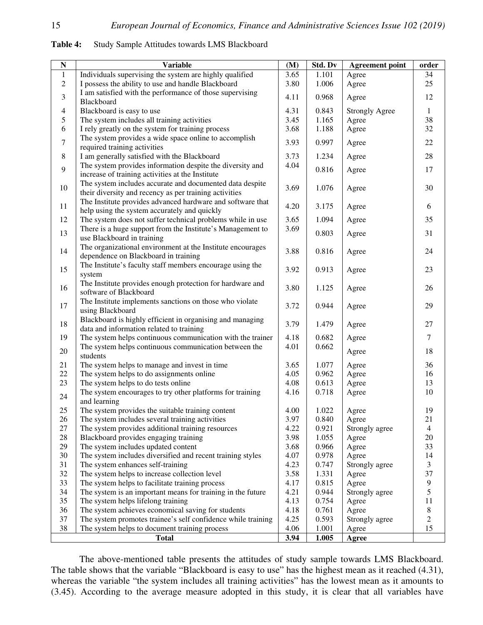| ${\bf N}$      | <b>Variable</b>                                                                                               | (M)          | Std. Dv        | <b>Agreement point</b> | order                |
|----------------|---------------------------------------------------------------------------------------------------------------|--------------|----------------|------------------------|----------------------|
| 1              | Individuals supervising the system are highly qualified                                                       | 3.65         | 1.101          | Agree                  | 34                   |
| $\overline{c}$ | I possess the ability to use and handle Blackboard                                                            | 3.80         | 1.006          | Agree                  | 25                   |
|                | I am satisfied with the performance of those supervising                                                      |              |                |                        |                      |
| 3              | <b>Blackboard</b>                                                                                             | 4.11         | 0.968          | Agree                  | 12                   |
| 4              | Blackboard is easy to use                                                                                     | 4.31         | 0.843          | <b>Strongly Agree</b>  | 1                    |
| 5              | The system includes all training activities                                                                   | 3.45         | 1.165          | Agree                  | 38                   |
| 6              | I rely greatly on the system for training process                                                             | 3.68         | 1.188          | Agree                  | 32                   |
| $\overline{7}$ | The system provides a wide space online to accomplish                                                         | 3.93         | 0.997          | Agree                  | 22                   |
|                | required training activities                                                                                  |              |                |                        |                      |
| 8              | I am generally satisfied with the Blackboard                                                                  | 3.73         | 1.234          | Agree                  | 28                   |
| 9              | The system provides information despite the diversity and<br>increase of training activities at the Institute | 4.04         | 0.816          | Agree                  | 17                   |
|                | The system includes accurate and documented data despite                                                      |              |                |                        |                      |
| 10             | their diversity and recency as per training activities                                                        | 3.69         | 1.076          | Agree                  | 30                   |
|                | The Institute provides advanced hardware and software that                                                    |              |                |                        |                      |
| 11             | help using the system accurately and quickly                                                                  | 4.20         | 3.175          | Agree                  | 6                    |
| 12             | The system does not suffer technical problems while in use                                                    | 3.65         | 1.094          | Agree                  | 35                   |
| 13             | There is a huge support from the Institute's Management to                                                    | 3.69         | 0.803          | Agree                  | 31                   |
|                | use Blackboard in training                                                                                    |              |                |                        |                      |
| 14             | The organizational environment at the Institute encourages                                                    | 3.88         | 0.816          | Agree                  | 24                   |
|                | dependence on Blackboard in training                                                                          |              |                |                        |                      |
| 15             | The Institute's faculty staff members encourage using the                                                     | 3.92         | 0.913          | Agree                  | 23                   |
|                | system<br>The Institute provides enough protection for hardware and                                           |              |                |                        |                      |
| 16             | software of Blackboard                                                                                        | 3.80         | 1.125          | Agree                  | 26                   |
|                | The Institute implements sanctions on those who violate                                                       |              |                |                        |                      |
| 17             | using Blackboard                                                                                              | 3.72         | 0.944          | Agree                  | 29                   |
|                | Blackboard is highly efficient in organising and managing                                                     |              |                |                        |                      |
| 18             | data and information related to training                                                                      | 3.79         | 1.479          | Agree                  | 27                   |
| 19             | The system helps continuous communication with the trainer                                                    | 4.18         | 0.682          | Agree                  | 7                    |
| 20             | The system helps continuous communication between the                                                         | 4.01         | 0.662          | Agree                  | 18                   |
|                | students                                                                                                      |              |                |                        |                      |
| 21             | The system helps to manage and invest in time                                                                 | 3.65         | 1.077          | Agree                  | 36                   |
| $22\,$         | The system helps to do assignments online                                                                     | 4.05         | 0.962          | Agree                  | 16                   |
| 23             | The system helps to do tests online                                                                           | 4.08         | 0.613          | Agree                  | 13                   |
| 24             | The system encourages to try other platforms for training                                                     | 4.16         | 0.718          | Agree                  | 10                   |
|                | and learning                                                                                                  |              |                |                        |                      |
| 25             | The system provides the suitable training content                                                             | 4.00         | 1.022          | Agree                  | 19                   |
| 26             | The system includes several training activities                                                               | 3.97         | 0.840          | Agree                  | 21                   |
| 27<br>28       | The system provides additional training resources<br>Blackboard provides engaging training                    | 4.22         | 0.921          | Strongly agree         | $\overline{4}$<br>20 |
| 29             | The system includes updated content                                                                           | 3.98<br>3.68 | 1.055<br>0.966 | Agree<br>Agree         | 33                   |
| 30             | The system includes diversified and recent training styles                                                    | 4.07         | 0.978          | Agree                  | 14                   |
| 31             | The system enhances self-training                                                                             | 4.23         | 0.747          | Strongly agree         | 3                    |
| 32             | The system helps to increase collection level                                                                 | 3.58         | 1.331          | Agree                  | 37                   |
| 33             | The system helps to facilitate training process                                                               | 4.17         | 0.815          | Agree                  | $\overline{9}$       |
| 34             | The system is an important means for training in the future                                                   | 4.21         | 0.944          | Strongly agree         | 5                    |
| 35             | The system helps lifelong training                                                                            | 4.13         | 0.754          | Agree                  | 11                   |
| 36             | The system achieves economical saving for students                                                            | 4.18         | 0.761          | Agree                  | $8\,$                |
| 37             | The system promotes trainee's self confidence while training                                                  | 4.25         | 0.593          | Strongly agree         | $\overline{2}$       |
| 38             | The system helps to document training process                                                                 | 4.06         | 1.001          | Agree                  | 15                   |
|                | <b>Total</b>                                                                                                  | 3.94         | 1.005          | Agree                  |                      |

**Table 4:** Study Sample Attitudes towards LMS Blackboard

The above-mentioned table presents the attitudes of study sample towards LMS Blackboard. The table shows that the variable "Blackboard is easy to use" has the highest mean as it reached (4.31), whereas the variable "the system includes all training activities" has the lowest mean as it amounts to (3.45). According to the average measure adopted in this study, it is clear that all variables have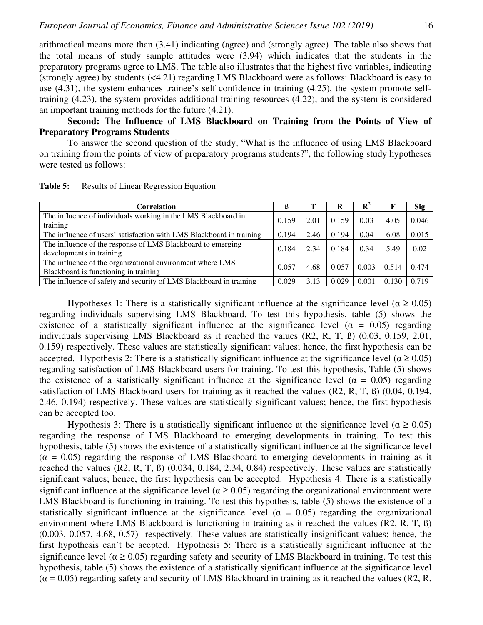arithmetical means more than (3.41) indicating (agree) and (strongly agree). The table also shows that the total means of study sample attitudes were (3.94) which indicates that the students in the preparatory programs agree to LMS. The table also illustrates that the highest five variables, indicating (strongly agree) by students (<4.21) regarding LMS Blackboard were as follows: Blackboard is easy to use (4.31), the system enhances trainee's self confidence in training (4.25), the system promote selftraining (4.23), the system provides additional training resources (4.22), and the system is considered an important training methods for the future (4.21).

### **Second: The Influence of LMS Blackboard on Training from the Points of View of Preparatory Programs Students**

To answer the second question of the study, "What is the influence of using LMS Blackboard on training from the points of view of preparatory programs students?", the following study hypotheses were tested as follows:

| <b>Correlation</b>                                                                                 | l5    |      |       | $\mathbf{R}^2$ |       | <b>Sig</b> |
|----------------------------------------------------------------------------------------------------|-------|------|-------|----------------|-------|------------|
| The influence of individuals working in the LMS Blackboard in<br>training                          | 0.159 | 2.01 | 0.159 | 0.03           | 4.05  | 0.046      |
| The influence of users' satisfaction with LMS Blackboard in training                               | 0.194 | 2.46 | 0.194 | 0.04           | 6.08  | 0.015      |
| The influence of the response of LMS Blackboard to emerging<br>developments in training            | 0.184 | 2.34 | 0.184 | 0.34           | 5.49  | 0.02       |
| The influence of the organizational environment where LMS<br>Blackboard is functioning in training | 0.057 | 4.68 | 0.057 | 0.003          | 0.514 | 0.474      |
| The influence of safety and security of LMS Blackboard in training                                 | 0.029 | 3.13 | 0.029 | 0.001          | 0.130 | 0.719      |

Table 5: Results of Linear Regression Equation

Hypotheses 1: There is a statistically significant influence at the significance level ( $\alpha \ge 0.05$ ) regarding individuals supervising LMS Blackboard. To test this hypothesis, table (5) shows the existence of a statistically significant influence at the significance level ( $\alpha = 0.05$ ) regarding individuals supervising LMS Blackboard as it reached the values (R2, R, T, ß) (0.03, 0.159, 2.01, 0.159) respectively. These values are statistically significant values; hence, the first hypothesis can be accepted. Hypothesis 2: There is a statistically significant influence at the significance level ( $\alpha \ge 0.05$ ) regarding satisfaction of LMS Blackboard users for training. To test this hypothesis, Table (5) shows the existence of a statistically significant influence at the significance level ( $\alpha = 0.05$ ) regarding satisfaction of LMS Blackboard users for training as it reached the values (R2, R, T, ß) (0.04, 0.194, 2.46, 0.194) respectively. These values are statistically significant values; hence, the first hypothesis can be accepted too.

Hypothesis 3: There is a statistically significant influence at the significance level ( $\alpha \ge 0.05$ ) regarding the response of LMS Blackboard to emerging developments in training. To test this hypothesis, table (5) shows the existence of a statistically significant influence at the significance level  $(\alpha = 0.05)$  regarding the response of LMS Blackboard to emerging developments in training as it reached the values (R2, R, T, ß) (0.034, 0.184, 2.34, 0.84) respectively. These values are statistically significant values; hence, the first hypothesis can be accepted. Hypothesis 4: There is a statistically significant influence at the significance level ( $\alpha \ge 0.05$ ) regarding the organizational environment were LMS Blackboard is functioning in training. To test this hypothesis, table (5) shows the existence of a statistically significant influence at the significance level ( $\alpha = 0.05$ ) regarding the organizational environment where LMS Blackboard is functioning in training as it reached the values (R2, R, T, B) (0.003, 0.057, 4.68, 0.57) respectively. These values are statistically insignificant values; hence, the first hypothesis can't be acepted. Hypothesis 5: There is a statistically significant influence at the significance level ( $\alpha \ge 0.05$ ) regarding safety and security of LMS Blackboard in training. To test this hypothesis, table (5) shows the existence of a statistically significant influence at the significance level  $(\alpha = 0.05)$  regarding safety and security of LMS Blackboard in training as it reached the values (R2, R,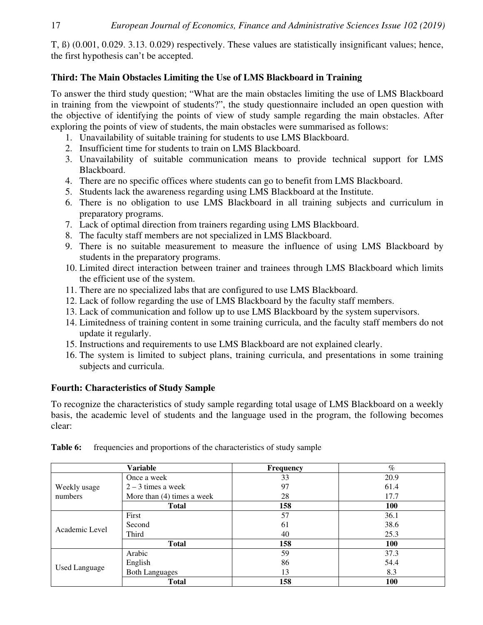T, ß) (0.001, 0.029. 3.13. 0.029) respectively. These values are statistically insignificant values; hence, the first hypothesis can't be accepted.

# **Third: The Main Obstacles Limiting the Use of LMS Blackboard in Training**

To answer the third study question; "What are the main obstacles limiting the use of LMS Blackboard in training from the viewpoint of students?", the study questionnaire included an open question with the objective of identifying the points of view of study sample regarding the main obstacles. After exploring the points of view of students, the main obstacles were summarised as follows:

- 1. Unavailability of suitable training for students to use LMS Blackboard.
- 2. Insufficient time for students to train on LMS Blackboard.
- 3. Unavailability of suitable communication means to provide technical support for LMS Blackboard.
- 4. There are no specific offices where students can go to benefit from LMS Blackboard.
- 5. Students lack the awareness regarding using LMS Blackboard at the Institute.
- 6. There is no obligation to use LMS Blackboard in all training subjects and curriculum in preparatory programs.
- 7. Lack of optimal direction from trainers regarding using LMS Blackboard.
- 8. The faculty staff members are not specialized in LMS Blackboard.
- 9. There is no suitable measurement to measure the influence of using LMS Blackboard by students in the preparatory programs.
- 10. Limited direct interaction between trainer and trainees through LMS Blackboard which limits the efficient use of the system.
- 11. There are no specialized labs that are configured to use LMS Blackboard.
- 12. Lack of follow regarding the use of LMS Blackboard by the faculty staff members.
- 13. Lack of communication and follow up to use LMS Blackboard by the system supervisors.
- 14. Limitedness of training content in some training curricula, and the faculty staff members do not update it regularly.
- 15. Instructions and requirements to use LMS Blackboard are not explained clearly.
- 16. The system is limited to subject plans, training curricula, and presentations in some training subjects and curricula.

# **Fourth: Characteristics of Study Sample**

To recognize the characteristics of study sample regarding total usage of LMS Blackboard on a weekly basis, the academic level of students and the language used in the program, the following becomes clear:

|                      | Variable                     | <b>Frequency</b> | $\%$ |
|----------------------|------------------------------|------------------|------|
|                      | Once a week                  | 33               | 20.9 |
| Weekly usage         | $2 - 3$ times a week         | 97               | 61.4 |
| numbers              | More than $(4)$ times a week | 28               | 17.7 |
|                      | <b>Total</b>                 | 158              | 100  |
|                      | First                        | 57               | 36.1 |
| Academic Level       | Second                       | 61               | 38.6 |
|                      | Third                        | 40               | 25.3 |
|                      | <b>Total</b>                 | 158              | 100  |
|                      | Arabic                       | 59               | 37.3 |
|                      | English                      | 86               | 54.4 |
| <b>Used Language</b> | <b>Both Languages</b>        | 13               | 8.3  |
|                      | <b>Total</b>                 | 158              | 100  |

**Table 6:** frequencies and proportions of the characteristics of study sample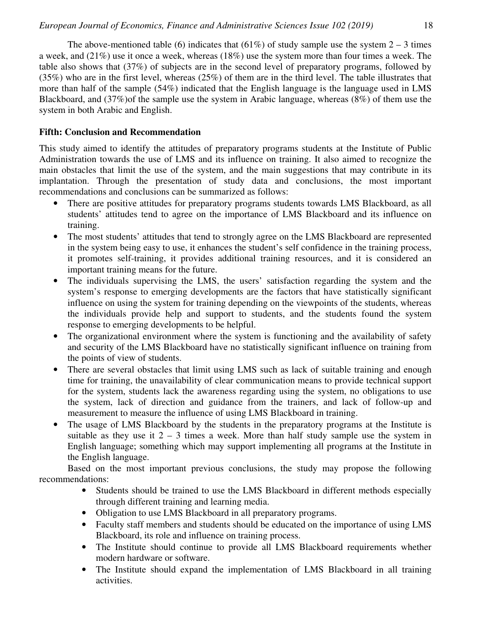The above-mentioned table (6) indicates that (61%) of study sample use the system  $2 - 3$  times a week, and (21%) use it once a week, whereas (18%) use the system more than four times a week. The table also shows that (37%) of subjects are in the second level of preparatory programs, followed by (35%) who are in the first level, whereas (25%) of them are in the third level. The table illustrates that more than half of the sample (54%) indicated that the English language is the language used in LMS Blackboard, and (37%)of the sample use the system in Arabic language, whereas (8%) of them use the system in both Arabic and English.

### **Fifth: Conclusion and Recommendation**

This study aimed to identify the attitudes of preparatory programs students at the Institute of Public Administration towards the use of LMS and its influence on training. It also aimed to recognize the main obstacles that limit the use of the system, and the main suggestions that may contribute in its implantation. Through the presentation of study data and conclusions, the most important recommendations and conclusions can be summarized as follows:

- There are positive attitudes for preparatory programs students towards LMS Blackboard, as all students' attitudes tend to agree on the importance of LMS Blackboard and its influence on training.
- The most students' attitudes that tend to strongly agree on the LMS Blackboard are represented in the system being easy to use, it enhances the student's self confidence in the training process, it promotes self-training, it provides additional training resources, and it is considered an important training means for the future.
- The individuals supervising the LMS, the users' satisfaction regarding the system and the system's response to emerging developments are the factors that have statistically significant influence on using the system for training depending on the viewpoints of the students, whereas the individuals provide help and support to students, and the students found the system response to emerging developments to be helpful.
- The organizational environment where the system is functioning and the availability of safety and security of the LMS Blackboard have no statistically significant influence on training from the points of view of students.
- There are several obstacles that limit using LMS such as lack of suitable training and enough time for training, the unavailability of clear communication means to provide technical support for the system, students lack the awareness regarding using the system, no obligations to use the system, lack of direction and guidance from the trainers, and lack of follow-up and measurement to measure the influence of using LMS Blackboard in training.
- The usage of LMS Blackboard by the students in the preparatory programs at the Institute is suitable as they use it  $2 - 3$  times a week. More than half study sample use the system in English language; something which may support implementing all programs at the Institute in the English language.

Based on the most important previous conclusions, the study may propose the following recommendations:

- Students should be trained to use the LMS Blackboard in different methods especially through different training and learning media.
- Obligation to use LMS Blackboard in all preparatory programs.
- Faculty staff members and students should be educated on the importance of using LMS Blackboard, its role and influence on training process.
- The Institute should continue to provide all LMS Blackboard requirements whether modern hardware or software.
- The Institute should expand the implementation of LMS Blackboard in all training activities.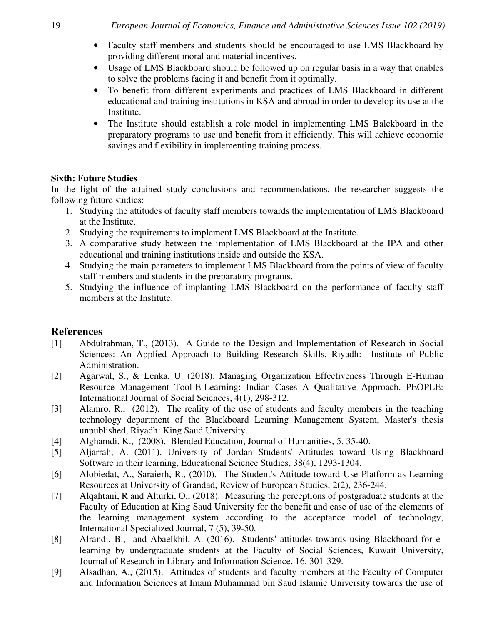- Faculty staff members and students should be encouraged to use LMS Blackboard by providing different moral and material incentives.
- Usage of LMS Blackboard should be followed up on regular basis in a way that enables to solve the problems facing it and benefit from it optimally.
- To benefit from different experiments and practices of LMS Blackboard in different educational and training institutions in KSA and abroad in order to develop its use at the Institute.
- The Institute should establish a role model in implementing LMS Balckboard in the preparatory programs to use and benefit from it efficiently. This will achieve economic savings and flexibility in implementing training process.

### **Sixth: Future Studies**

In the light of the attained study conclusions and recommendations, the researcher suggests the following future studies:

- 1. Studying the attitudes of faculty staff members towards the implementation of LMS Blackboard at the Institute.
- 2. Studying the requirements to implement LMS Blackboard at the Institute.
- 3. A comparative study between the implementation of LMS Blackboard at the IPA and other educational and training institutions inside and outside the KSA.
- 4. Studying the main parameters to implement LMS Blackboard from the points of view of faculty staff members and students in the preparatory programs.
- 5. Studying the influence of implanting LMS Blackboard on the performance of faculty staff members at the Institute.

# **References**

- [1] Abdulrahman, T., (2013). A Guide to the Design and Implementation of Research in Social Sciences: An Applied Approach to Building Research Skills, Riyadh: Institute of Public Administration.
- [2] Agarwal, S., & Lenka, U. (2018). Managing Organization Effectiveness Through E-Human Resource Management Tool-E-Learning: Indian Cases A Qualitative Approach. PEOPLE: International Journal of Social Sciences, 4(1), 298-312.
- [3] Alamro, R., (2012). The reality of the use of students and faculty members in the teaching technology department of the Blackboard Learning Management System, Master's thesis unpublished, Riyadh: King Saud University.
- [4] Alghamdi, K., (2008). Blended Education, Journal of Humanities, 5, 35-40.
- [5] Aljarrah, A. (2011). University of Jordan Students' Attitudes toward Using Blackboard Software in their learning, Educational Science Studies, 38(4), 1293-1304.
- [6] Alobiedat, A., Saraierh, R., (2010). The Student's Attitude toward Use Platform as Learning Resources at University of Grandad, Review of European Studies, 2(2), 236-244.
- [7] Alqahtani, R and Alturki, O., (2018). Measuring the perceptions of postgraduate students at the Faculty of Education at King Saud University for the benefit and ease of use of the elements of the learning management system according to the acceptance model of technology, International Specialized Journal, 7 (5), 39-50.
- [8] Alrandi, B., and Abaelkhil, A. (2016). Students' attitudes towards using Blackboard for elearning by undergraduate students at the Faculty of Social Sciences, Kuwait University, Journal of Research in Library and Information Science, 16, 301-329.
- [9] Alsadhan, A., (2015). Attitudes of students and faculty members at the Faculty of Computer and Information Sciences at Imam Muhammad bin Saud Islamic University towards the use of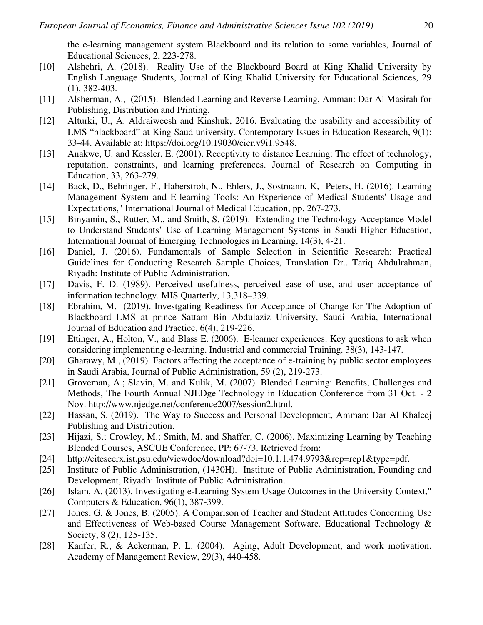the e-learning management system Blackboard and its relation to some variables, Journal of Educational Sciences, 2, 223-278.

- [10] Alshehri, A. (2018). Reality Use of the Blackboard Board at King Khalid University by English Language Students, Journal of King Khalid University for Educational Sciences, 29 (1), 382-403.
- [11] Alsherman, A., (2015). Blended Learning and Reverse Learning, Amman: Dar Al Masirah for Publishing, Distribution and Printing.
- [12] Alturki, U., A. Aldraiweesh and Kinshuk, 2016. Evaluating the usability and accessibility of LMS "blackboard" at King Saud university. Contemporary Issues in Education Research, 9(1): 33-44. Available at: https://doi.org/10.19030/cier.v9i1.9548.
- [13] Anakwe, U. and Kessler, E. (2001). Receptivity to distance Learning: The effect of technology, reputation, constraints, and learning preferences. Journal of Research on Computing in Education, 33, 263-279.
- [14] Back, D., Behringer, F., Haberstroh, N., Ehlers, J., Sostmann, K, Peters, H. (2016). Learning Management System and E-learning Tools: An Experience of Medical Students' Usage and Expectations," International Journal of Medical Education, pp. 267-273.
- [15] Binyamin, S., Rutter, M., and Smith, S. (2019). Extending the Technology Acceptance Model to Understand Students' Use of Learning Management Systems in Saudi Higher Education, International Journal of Emerging Technologies in Learning, 14(3), 4-21.
- [16] Daniel, J. (2016). Fundamentals of Sample Selection in Scientific Research: Practical Guidelines for Conducting Research Sample Choices, Translation Dr.. Tariq Abdulrahman, Riyadh: Institute of Public Administration.
- [17] Davis, F. D. (1989). Perceived usefulness, perceived ease of use, and user acceptance of information technology. MIS Quarterly, 13,318–339.
- [18] Ebrahim, M. (2019). Investgating Readiness for Acceptance of Change for The Adoption of Blackboard LMS at prince Sattam Bin Abdulaziz University, Saudi Arabia, International Journal of Education and Practice, 6(4), 219-226.
- [19] Ettinger, A., Holton, V., and Blass E. (2006). E-learner experiences: Key questions to ask when considering implementing e-learning. Industrial and commercial Training. 38(3), 143-147.
- [20] Gharawy, M., (2019). Factors affecting the acceptance of e-training by public sector employees in Saudi Arabia, Journal of Public Administration, 59 (2), 219-273.
- [21] Groveman, A.; Slavin, M. and Kulik, M. (2007). Blended Learning: Benefits, Challenges and Methods, The Fourth Annual NJEDge Technology in Education Conference from 31 Oct. - 2 Nov. http://www.njedge.net/conference2007/session2.html.
- [22] Hassan, S. (2019). The Way to Success and Personal Development, Amman: Dar Al Khaleej Publishing and Distribution.
- [23] Hijazi, S.; Crowley, M.; Smith, M. and Shaffer, C. (2006). Maximizing Learning by Teaching Blended Courses, ASCUE Conference, PP: 67-73. Retrieved from:
- [24] http://citeseerx.ist.psu.edu/viewdoc/download?doi=10.1.1.474.9793&rep=rep1&type=pdf.
- [25] Institute of Public Administration, (1430H). Institute of Public Administration, Founding and Development, Riyadh: Institute of Public Administration.
- [26] Islam, A. (2013). Investigating e-Learning System Usage Outcomes in the University Context," Computers & Education, 96(1), 387-399.
- [27] Jones, G. & Jones, B. (2005). A Comparison of Teacher and Student Attitudes Concerning Use and Effectiveness of Web-based Course Management Software. Educational Technology & Society, 8 (2), 125-135.
- [28] Kanfer, R., & Ackerman, P. L. (2004). Aging, Adult Development, and work motivation. Academy of Management Review, 29(3), 440-458.